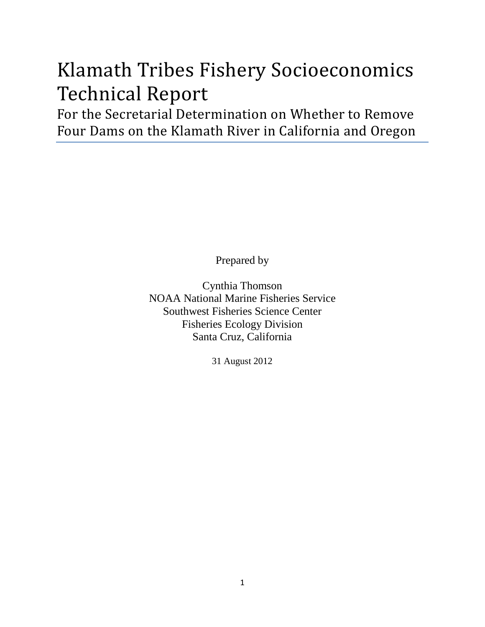# Klamath Tribes Fishery Socioeconomics Technical Report

For the Secretarial Determination on Whether to Remove Four Dams on the Klamath River in California and Oregon

Prepared by

Cynthia Thomson NOAA National Marine Fisheries Service Southwest Fisheries Science Center Fisheries Ecology Division Santa Cruz, California

31 August 2012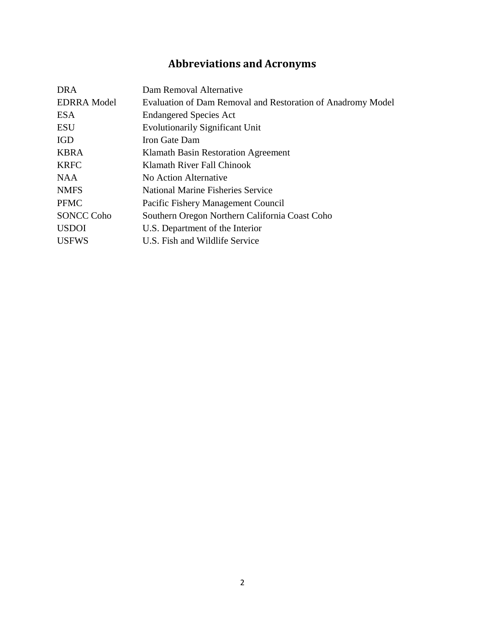## **Abbreviations and Acronyms**

| <b>DRA</b>         | Dam Removal Alternative                                     |
|--------------------|-------------------------------------------------------------|
| <b>EDRRA</b> Model | Evaluation of Dam Removal and Restoration of Anadromy Model |
| <b>ESA</b>         | <b>Endangered Species Act</b>                               |
| <b>ESU</b>         | <b>Evolutionarily Significant Unit</b>                      |
| <b>IGD</b>         | Iron Gate Dam                                               |
| <b>KBRA</b>        | Klamath Basin Restoration Agreement                         |
| <b>KRFC</b>        | Klamath River Fall Chinook                                  |
| <b>NAA</b>         | No Action Alternative                                       |
| <b>NMFS</b>        | <b>National Marine Fisheries Service</b>                    |
| <b>PFMC</b>        | Pacific Fishery Management Council                          |
| <b>SONCC Coho</b>  | Southern Oregon Northern California Coast Coho              |
| <b>USDOI</b>       | U.S. Department of the Interior                             |
| <b>USFWS</b>       | U.S. Fish and Wildlife Service                              |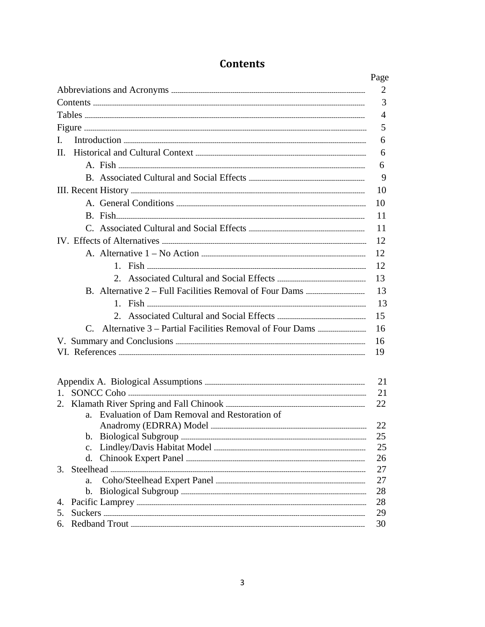|                                                 | Page           |
|-------------------------------------------------|----------------|
|                                                 | 2              |
|                                                 | 3              |
|                                                 | $\overline{4}$ |
|                                                 | 5              |
| $\mathbf{L}$                                    | 6              |
| $\Pi$ .                                         | 6              |
|                                                 | 6              |
|                                                 | 9              |
|                                                 | 10             |
|                                                 | 10             |
|                                                 | 11             |
|                                                 | 11             |
|                                                 | 12             |
|                                                 | 12             |
|                                                 | 12             |
|                                                 | 13             |
|                                                 | 13             |
|                                                 | -13            |
|                                                 | 15             |
|                                                 | 16             |
|                                                 | 16             |
|                                                 | 19             |
|                                                 |                |
|                                                 |                |
|                                                 | 21             |
|                                                 | 21<br>22       |
| a. Evaluation of Dam Removal and Restoration of |                |
|                                                 | 22             |
| b.                                              | 25             |
| $\mathbf{c}$ .                                  | 25             |
| d.                                              | 26             |
| $3_{-}$                                         | 27             |
| a <sub>z</sub>                                  | 27             |
| $\mathbf{b}$ .                                  | 28             |
| 4.<br>5.                                        | 28<br>29       |
| 6. Redband Trout.                               | 30             |

#### **Contents**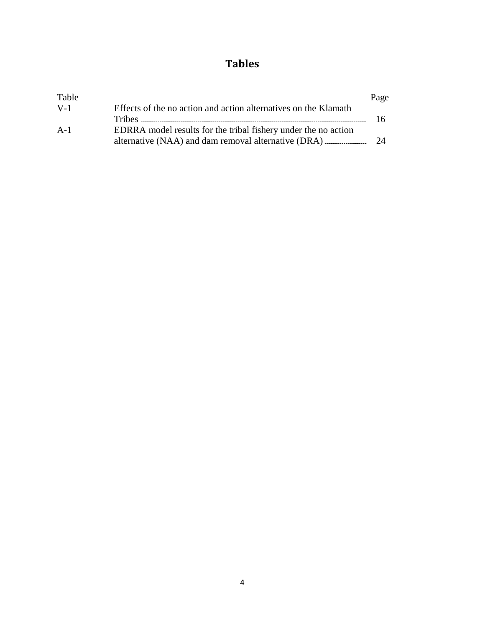### **Tables**

| Table |                                                                 | Page |
|-------|-----------------------------------------------------------------|------|
| $V-1$ | Effects of the no action and action alternatives on the Klamath |      |
|       |                                                                 | 16.  |
| $A-1$ | EDRRA model results for the tribal fishery under the no action  |      |
|       |                                                                 | 24   |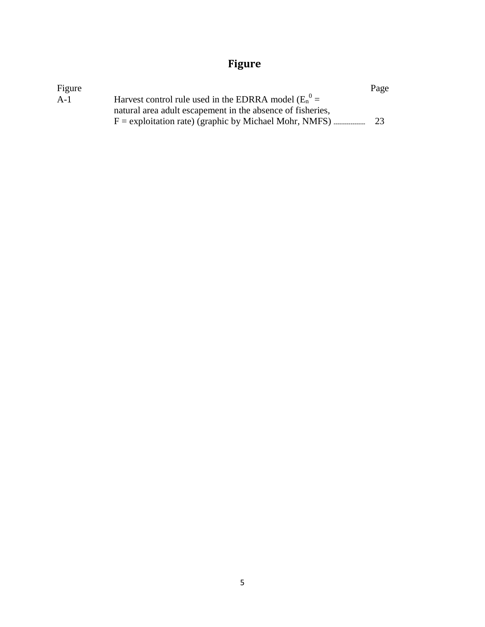## **Figure**

| Figure |                                                            | Page |
|--------|------------------------------------------------------------|------|
| $A-1$  | Harvest control rule used in the EDRRA model ( $E_n^0$ =   |      |
|        | natural area adult escapement in the absence of fisheries, |      |
|        |                                                            | 23   |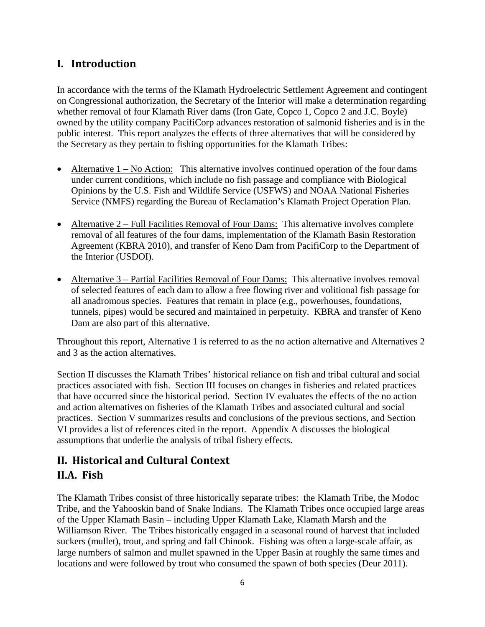#### **I. Introduction**

In accordance with the terms of the Klamath Hydroelectric Settlement Agreement and contingent on Congressional authorization, the Secretary of the Interior will make a determination regarding whether removal of four Klamath River dams (Iron Gate, Copco 1, Copco 2 and J.C. Boyle) owned by the utility company PacifiCorp advances restoration of salmonid fisheries and is in the public interest. This report analyzes the effects of three alternatives that will be considered by the Secretary as they pertain to fishing opportunities for the Klamath Tribes:

- Alternative  $1 No$  Action: This alternative involves continued operation of the four dams under current conditions, which include no fish passage and compliance with Biological Opinions by the U.S. Fish and Wildlife Service (USFWS) and NOAA National Fisheries Service (NMFS) regarding the Bureau of Reclamation's Klamath Project Operation Plan.
- Alternative 2 Full Facilities Removal of Four Dams: This alternative involves complete removal of all features of the four dams, implementation of the Klamath Basin Restoration Agreement (KBRA 2010), and transfer of Keno Dam from PacifiCorp to the Department of the Interior (USDOI).
- Alternative 3 Partial Facilities Removal of Four Dams: This alternative involves removal of selected features of each dam to allow a free flowing river and volitional fish passage for all anadromous species. Features that remain in place (e.g., powerhouses, foundations, tunnels, pipes) would be secured and maintained in perpetuity. KBRA and transfer of Keno Dam are also part of this alternative.

Throughout this report, Alternative 1 is referred to as the no action alternative and Alternatives 2 and 3 as the action alternatives.

Section II discusses the Klamath Tribes' historical reliance on fish and tribal cultural and social practices associated with fish. Section III focuses on changes in fisheries and related practices that have occurred since the historical period. Section IV evaluates the effects of the no action and action alternatives on fisheries of the Klamath Tribes and associated cultural and social practices. Section V summarizes results and conclusions of the previous sections, and Section VI provides a list of references cited in the report. Appendix A discusses the biological assumptions that underlie the analysis of tribal fishery effects.

#### **II. Historical and Cultural Context II.A. Fish**

The Klamath Tribes consist of three historically separate tribes: the Klamath Tribe, the Modoc Tribe, and the Yahooskin band of Snake Indians. The Klamath Tribes once occupied large areas of the Upper Klamath Basin – including Upper Klamath Lake, Klamath Marsh and the Williamson River. The Tribes historically engaged in a seasonal round of harvest that included suckers (mullet), trout, and spring and fall Chinook. Fishing was often a large-scale affair, as large numbers of salmon and mullet spawned in the Upper Basin at roughly the same times and locations and were followed by trout who consumed the spawn of both species (Deur 2011).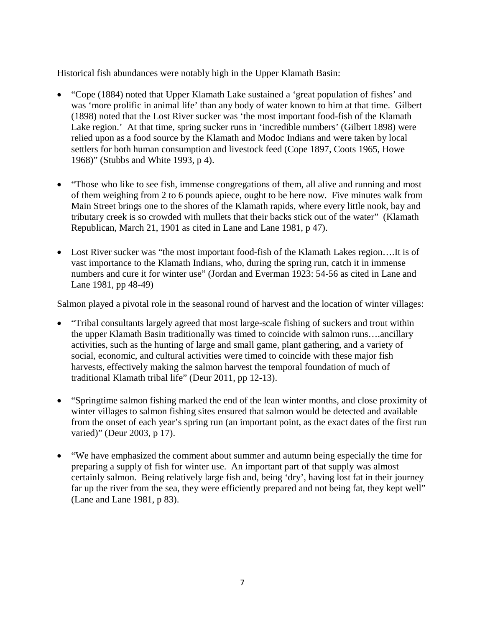Historical fish abundances were notably high in the Upper Klamath Basin:

- "Cope (1884) noted that Upper Klamath Lake sustained a 'great population of fishes' and was 'more prolific in animal life' than any body of water known to him at that time. Gilbert (1898) noted that the Lost River sucker was 'the most important food-fish of the Klamath Lake region.' At that time, spring sucker runs in 'incredible numbers' (Gilbert 1898) were relied upon as a food source by the Klamath and Modoc Indians and were taken by local settlers for both human consumption and livestock feed (Cope 1897, Coots 1965, Howe 1968)" (Stubbs and White 1993, p 4).
- "Those who like to see fish, immense congregations of them, all alive and running and most of them weighing from 2 to 6 pounds apiece, ought to be here now. Five minutes walk from Main Street brings one to the shores of the Klamath rapids, where every little nook, bay and tributary creek is so crowded with mullets that their backs stick out of the water" (Klamath Republican, March 21, 1901 as cited in Lane and Lane 1981, p 47).
- Lost River sucker was "the most important food-fish of the Klamath Lakes region....It is of vast importance to the Klamath Indians, who, during the spring run, catch it in immense numbers and cure it for winter use" (Jordan and Everman 1923: 54-56 as cited in Lane and Lane 1981, pp 48-49)

Salmon played a pivotal role in the seasonal round of harvest and the location of winter villages:

- "Tribal consultants largely agreed that most large-scale fishing of suckers and trout within the upper Klamath Basin traditionally was timed to coincide with salmon runs….ancillary activities, such as the hunting of large and small game, plant gathering, and a variety of social, economic, and cultural activities were timed to coincide with these major fish harvests, effectively making the salmon harvest the temporal foundation of much of traditional Klamath tribal life" (Deur 2011, pp 12-13).
- "Springtime salmon fishing marked the end of the lean winter months, and close proximity of winter villages to salmon fishing sites ensured that salmon would be detected and available from the onset of each year's spring run (an important point, as the exact dates of the first run varied)" (Deur 2003, p 17).
- "We have emphasized the comment about summer and autumn being especially the time for preparing a supply of fish for winter use. An important part of that supply was almost certainly salmon. Being relatively large fish and, being 'dry', having lost fat in their journey far up the river from the sea, they were efficiently prepared and not being fat, they kept well" (Lane and Lane 1981, p 83).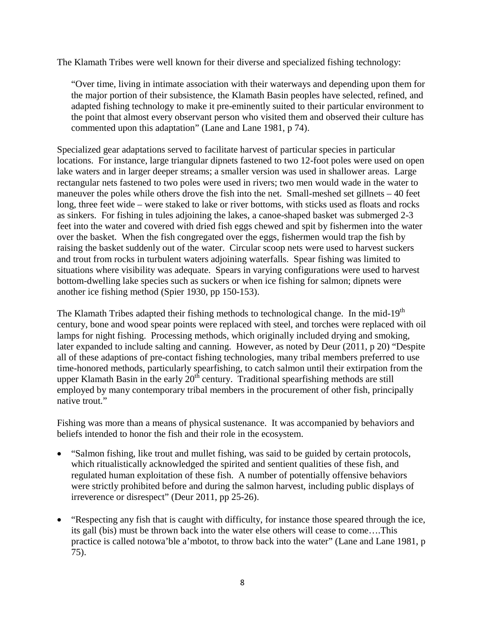The Klamath Tribes were well known for their diverse and specialized fishing technology:

"Over time, living in intimate association with their waterways and depending upon them for the major portion of their subsistence, the Klamath Basin peoples have selected, refined, and adapted fishing technology to make it pre-eminently suited to their particular environment to the point that almost every observant person who visited them and observed their culture has commented upon this adaptation" (Lane and Lane 1981, p 74).

Specialized gear adaptations served to facilitate harvest of particular species in particular locations. For instance, large triangular dipnets fastened to two 12-foot poles were used on open lake waters and in larger deeper streams; a smaller version was used in shallower areas. Large rectangular nets fastened to two poles were used in rivers; two men would wade in the water to maneuver the poles while others drove the fish into the net. Small-meshed set gillnets – 40 feet long, three feet wide – were staked to lake or river bottoms, with sticks used as floats and rocks as sinkers. For fishing in tules adjoining the lakes, a canoe-shaped basket was submerged 2-3 feet into the water and covered with dried fish eggs chewed and spit by fishermen into the water over the basket. When the fish congregated over the eggs, fishermen would trap the fish by raising the basket suddenly out of the water. Circular scoop nets were used to harvest suckers and trout from rocks in turbulent waters adjoining waterfalls. Spear fishing was limited to situations where visibility was adequate. Spears in varying configurations were used to harvest bottom-dwelling lake species such as suckers or when ice fishing for salmon; dipnets were another ice fishing method (Spier 1930, pp 150-153).

The Klamath Tribes adapted their fishing methods to technological change. In the mid-19<sup>th</sup> century, bone and wood spear points were replaced with steel, and torches were replaced with oil lamps for night fishing. Processing methods, which originally included drying and smoking, later expanded to include salting and canning. However, as noted by Deur (2011, p 20) "Despite all of these adaptions of pre-contact fishing technologies, many tribal members preferred to use time-honored methods, particularly spearfishing, to catch salmon until their extirpation from the upper Klamath Basin in the early  $20<sup>th</sup>$  century. Traditional spearfishing methods are still employed by many contemporary tribal members in the procurement of other fish, principally native trout."

Fishing was more than a means of physical sustenance. It was accompanied by behaviors and beliefs intended to honor the fish and their role in the ecosystem.

- "Salmon fishing, like trout and mullet fishing, was said to be guided by certain protocols, which ritualistically acknowledged the spirited and sentient qualities of these fish, and regulated human exploitation of these fish. A number of potentially offensive behaviors were strictly prohibited before and during the salmon harvest, including public displays of irreverence or disrespect" (Deur 2011, pp 25-26).
- "Respecting any fish that is caught with difficulty, for instance those speared through the ice, its gall (bis) must be thrown back into the water else others will cease to come….This practice is called notowa'ble a'mbotot, to throw back into the water" (Lane and Lane 1981, p 75).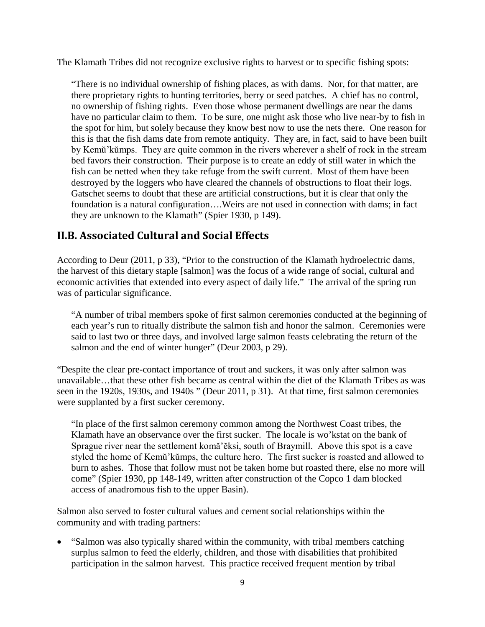The Klamath Tribes did not recognize exclusive rights to harvest or to specific fishing spots:

"There is no individual ownership of fishing places, as with dams. Nor, for that matter, are there proprietary rights to hunting territories, berry or seed patches. A chief has no control, no ownership of fishing rights. Even those whose permanent dwellings are near the dams have no particular claim to them. To be sure, one might ask those who live near-by to fish in the spot for him, but solely because they know best now to use the nets there. One reason for this is that the fish dams date from remote antiquity. They are, in fact, said to have been built by Kemŭ'kŭmps. They are quite common in the rivers wherever a shelf of rock in the stream bed favors their construction. Their purpose is to create an eddy of still water in which the fish can be netted when they take refuge from the swift current. Most of them have been destroyed by the loggers who have cleared the channels of obstructions to float their logs. Gatschet seems to doubt that these are artificial constructions, but it is clear that only the foundation is a natural configuration….Weirs are not used in connection with dams; in fact they are unknown to the Klamath" (Spier 1930, p 149).

#### **II.B. Associated Cultural and Social Effects**

According to Deur (2011, p 33), "Prior to the construction of the Klamath hydroelectric dams, the harvest of this dietary staple [salmon] was the focus of a wide range of social, cultural and economic activities that extended into every aspect of daily life." The arrival of the spring run was of particular significance.

"A number of tribal members spoke of first salmon ceremonies conducted at the beginning of each year's run to ritually distribute the salmon fish and honor the salmon. Ceremonies were said to last two or three days, and involved large salmon feasts celebrating the return of the salmon and the end of winter hunger" (Deur 2003, p 29).

"Despite the clear pre-contact importance of trout and suckers, it was only after salmon was unavailable…that these other fish became as central within the diet of the Klamath Tribes as was seen in the 1920s, 1930s, and 1940s " (Deur 2011, p 31). At that time, first salmon ceremonies were supplanted by a first sucker ceremony.

"In place of the first salmon ceremony common among the Northwest Coast tribes, the Klamath have an observance over the first sucker. The locale is wo'kstat on the bank of Sprague river near the settlement komă'ĕksi, south of Braymill. Above this spot is a cave styled the home of Kemŭ'kŭmps, the culture hero. The first sucker is roasted and allowed to burn to ashes. Those that follow must not be taken home but roasted there, else no more will come" (Spier 1930, pp 148-149, written after construction of the Copco 1 dam blocked access of anadromous fish to the upper Basin).

Salmon also served to foster cultural values and cement social relationships within the community and with trading partners:

• "Salmon was also typically shared within the community, with tribal members catching surplus salmon to feed the elderly, children, and those with disabilities that prohibited participation in the salmon harvest. This practice received frequent mention by tribal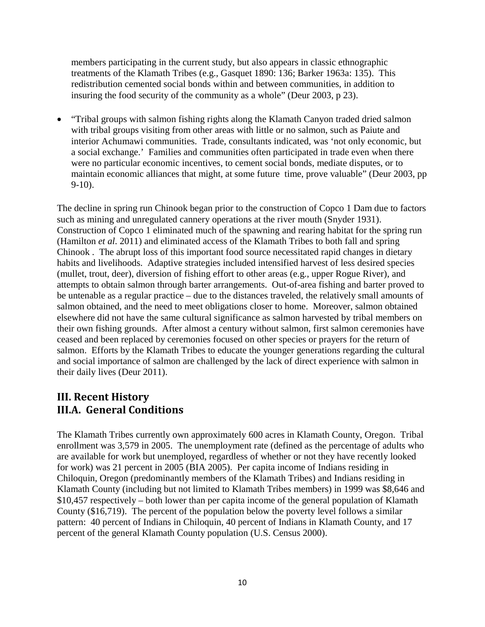members participating in the current study, but also appears in classic ethnographic treatments of the Klamath Tribes (e.g., Gasquet 1890: 136; Barker 1963a: 135). This redistribution cemented social bonds within and between communities, in addition to insuring the food security of the community as a whole" (Deur 2003, p 23).

• "Tribal groups with salmon fishing rights along the Klamath Canyon traded dried salmon with tribal groups visiting from other areas with little or no salmon, such as Paiute and interior Achumawi communities. Trade, consultants indicated, was 'not only economic, but a social exchange.' Families and communities often participated in trade even when there were no particular economic incentives, to cement social bonds, mediate disputes, or to maintain economic alliances that might, at some future time, prove valuable" (Deur 2003, pp 9-10).

The decline in spring run Chinook began prior to the construction of Copco 1 Dam due to factors such as mining and unregulated cannery operations at the river mouth (Snyder 1931). Construction of Copco 1 eliminated much of the spawning and rearing habitat for the spring run (Hamilton *et al*. 2011) and eliminated access of the Klamath Tribes to both fall and spring Chinook . The abrupt loss of this important food source necessitated rapid changes in dietary habits and livelihoods. Adaptive strategies included intensified harvest of less desired species (mullet, trout, deer), diversion of fishing effort to other areas (e.g., upper Rogue River), and attempts to obtain salmon through barter arrangements. Out-of-area fishing and barter proved to be untenable as a regular practice – due to the distances traveled, the relatively small amounts of salmon obtained, and the need to meet obligations closer to home. Moreover, salmon obtained elsewhere did not have the same cultural significance as salmon harvested by tribal members on their own fishing grounds. After almost a century without salmon, first salmon ceremonies have ceased and been replaced by ceremonies focused on other species or prayers for the return of salmon. Efforts by the Klamath Tribes to educate the younger generations regarding the cultural and social importance of salmon are challenged by the lack of direct experience with salmon in their daily lives (Deur 2011).

#### **III. Recent History III.A. General Conditions**

The Klamath Tribes currently own approximately 600 acres in Klamath County, Oregon. Tribal enrollment was 3,579 in 2005. The unemployment rate (defined as the percentage of adults who are available for work but unemployed, regardless of whether or not they have recently looked for work) was 21 percent in 2005 (BIA 2005). Per capita income of Indians residing in Chiloquin, Oregon (predominantly members of the Klamath Tribes) and Indians residing in Klamath County (including but not limited to Klamath Tribes members) in 1999 was \$8,646 and \$10,457 respectively – both lower than per capita income of the general population of Klamath County (\$16,719). The percent of the population below the poverty level follows a similar pattern: 40 percent of Indians in Chiloquin, 40 percent of Indians in Klamath County, and 17 percent of the general Klamath County population (U.S. Census 2000).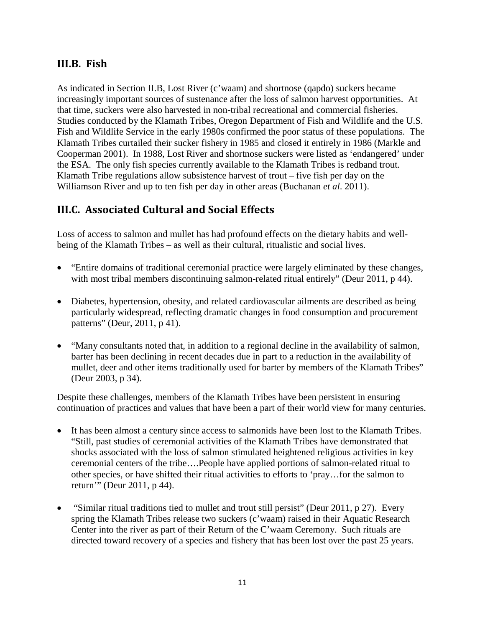#### **III.B. Fish**

As indicated in Section II.B, Lost River (c'waam) and shortnose (qapdo) suckers became increasingly important sources of sustenance after the loss of salmon harvest opportunities. At that time, suckers were also harvested in non-tribal recreational and commercial fisheries. Studies conducted by the Klamath Tribes, Oregon Department of Fish and Wildlife and the U.S. Fish and Wildlife Service in the early 1980s confirmed the poor status of these populations. The Klamath Tribes curtailed their sucker fishery in 1985 and closed it entirely in 1986 (Markle and Cooperman 2001). In 1988, Lost River and shortnose suckers were listed as 'endangered' under the ESA. The only fish species currently available to the Klamath Tribes is redband trout. Klamath Tribe regulations allow subsistence harvest of trout – five fish per day on the Williamson River and up to ten fish per day in other areas (Buchanan *et al*. 2011).

#### **III.C. Associated Cultural and Social Effects**

Loss of access to salmon and mullet has had profound effects on the dietary habits and wellbeing of the Klamath Tribes – as well as their cultural, ritualistic and social lives.

- "Entire domains of traditional ceremonial practice were largely eliminated by these changes, with most tribal members discontinuing salmon-related ritual entirely" (Deur 2011, p 44).
- Diabetes, hypertension, obesity, and related cardiovascular ailments are described as being particularly widespread, reflecting dramatic changes in food consumption and procurement patterns" (Deur, 2011, p 41).
- "Many consultants noted that, in addition to a regional decline in the availability of salmon, barter has been declining in recent decades due in part to a reduction in the availability of mullet, deer and other items traditionally used for barter by members of the Klamath Tribes" (Deur 2003, p 34).

Despite these challenges, members of the Klamath Tribes have been persistent in ensuring continuation of practices and values that have been a part of their world view for many centuries.

- It has been almost a century since access to salmonids have been lost to the Klamath Tribes. "Still, past studies of ceremonial activities of the Klamath Tribes have demonstrated that shocks associated with the loss of salmon stimulated heightened religious activities in key ceremonial centers of the tribe….People have applied portions of salmon-related ritual to other species, or have shifted their ritual activities to efforts to 'pray…for the salmon to return'" (Deur 2011, p 44).
- "Similar ritual traditions tied to mullet and trout still persist" (Deur 2011, p 27). Every spring the Klamath Tribes release two suckers (c'waam) raised in their Aquatic Research Center into the river as part of their Return of the C'waam Ceremony. Such rituals are directed toward recovery of a species and fishery that has been lost over the past 25 years.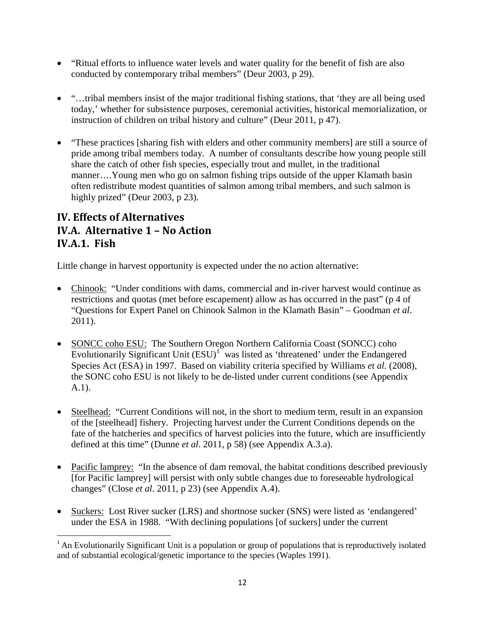- "Ritual efforts to influence water levels and water quality for the benefit of fish are also conducted by contemporary tribal members" (Deur 2003, p 29).
- "...tribal members insist of the major traditional fishing stations, that 'they are all being used today,' whether for subsistence purposes, ceremonial activities, historical memorialization, or instruction of children on tribal history and culture" (Deur 2011, p 47).
- "These practices [sharing fish with elders and other community members] are still a source of pride among tribal members today. A number of consultants describe how young people still share the catch of other fish species, especially trout and mullet, in the traditional manner….Young men who go on salmon fishing trips outside of the upper Klamath basin often redistribute modest quantities of salmon among tribal members, and such salmon is highly prized" (Deur 2003, p 23).

#### **IV. Effects of Alternatives IV.A. Alternative 1 – No Action IV.A.1. Fish**

Little change in harvest opportunity is expected under the no action alternative:

- Chinook: "Under conditions with dams, commercial and in-river harvest would continue as restrictions and quotas (met before escapement) allow as has occurred in the past" (p 4 of "Questions for Expert Panel on Chinook Salmon in the Klamath Basin" – Goodman *et al*. 2011).
- SONCC coho ESU: The Southern Oregon Northern California Coast (SONCC) coho Evolutionarily Significant Unit  $(ESU)^{1}$  $(ESU)^{1}$  $(ESU)^{1}$  was listed as 'threatened' under the Endangered Species Act (ESA) in 1997. Based on viability criteria specified by Williams *et al.* (2008), the SONC coho ESU is not likely to be de-listed under current conditions (see Appendix A.1).
- Steelhead: "Current Conditions will not, in the short to medium term, result in an expansion of the [steelhead] fishery. Projecting harvest under the Current Conditions depends on the fate of the hatcheries and specifics of harvest policies into the future, which are insufficiently defined at this time" (Dunne *et al*. 2011, p 58) (see Appendix A.3.a).
- Pacific lamprey: "In the absence of dam removal, the habitat conditions described previously [for Pacific lamprey] will persist with only subtle changes due to foreseeable hydrological changes" (Close *et al*. 2011, p 23) (see Appendix A.4).
- Suckers: Lost River sucker (LRS) and shortnose sucker (SNS) were listed as 'endangered' under the ESA in 1988. "With declining populations [of suckers] under the current

<span id="page-11-0"></span><sup>&</sup>lt;sup>1</sup> An Evolutionarily Significant Unit is a population or group of populations that is reproductively isolated and of substantial ecological/genetic importance to the species (Waples 1991).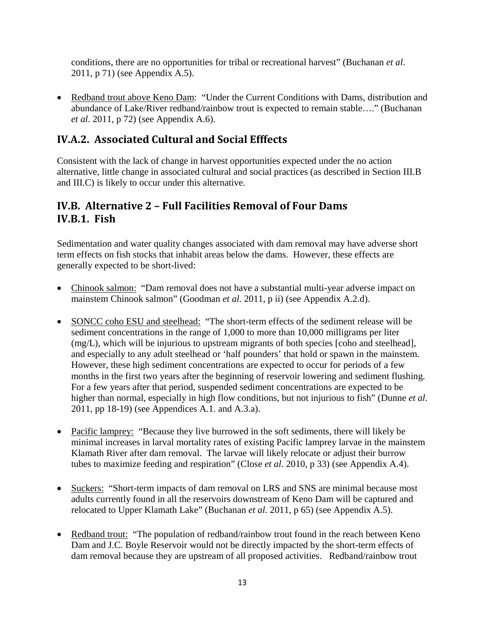conditions, there are no opportunities for tribal or recreational harvest" (Buchanan *et al*. 2011, p 71) (see Appendix A.5).

• Redband trout above Keno Dam: "Under the Current Conditions with Dams, distribution and abundance of Lake/River redband/rainbow trout is expected to remain stable…." (Buchanan *et al*. 2011, p 72) (see Appendix A.6).

#### **IV.A.2. Associated Cultural and Social Efffects**

Consistent with the lack of change in harvest opportunities expected under the no action alternative, little change in associated cultural and social practices (as described in Section III.B and III.C) is likely to occur under this alternative.

#### **IV.B. Alternative 2 – Full Facilities Removal of Four Dams IV.B.1. Fish**

Sedimentation and water quality changes associated with dam removal may have adverse short term effects on fish stocks that inhabit areas below the dams. However, these effects are generally expected to be short-lived:

- Chinook salmon: "Dam removal does not have a substantial multi-year adverse impact on mainstem Chinook salmon" (Goodman *et al.* 2011, p ii) (see Appendix A.2.d).
- SONCC coho ESU and steelhead: "The short-term effects of the sediment release will be sediment concentrations in the range of 1,000 to more than 10,000 milligrams per liter (mg/L), which will be injurious to upstream migrants of both species [coho and steelhead], and especially to any adult steelhead or 'half pounders' that hold or spawn in the mainstem. However, these high sediment concentrations are expected to occur for periods of a few months in the first two years after the beginning of reservoir lowering and sediment flushing. For a few years after that period, suspended sediment concentrations are expected to be higher than normal, especially in high flow conditions, but not injurious to fish" (Dunne *et al*. 2011, pp 18-19) (see Appendices A.1. and A.3.a).
- Pacific lamprey: "Because they live burrowed in the soft sediments, there will likely be minimal increases in larval mortality rates of existing Pacific lamprey larvae in the mainstem Klamath River after dam removal. The larvae will likely relocate or adjust their burrow tubes to maximize feeding and respiration" (Close *et al*. 2010, p 33) (see Appendix A.4).
- Suckers: "Short-term impacts of dam removal on LRS and SNS are minimal because most adults currently found in all the reservoirs downstream of Keno Dam will be captured and relocated to Upper Klamath Lake" (Buchanan *et al.* 2011, p 65) (see Appendix A.5).
- Redband trout: "The population of redband/rainbow trout found in the reach between Keno Dam and J.C. Boyle Reservoir would not be directly impacted by the short-term effects of dam removal because they are upstream of all proposed activities. Redband/rainbow trout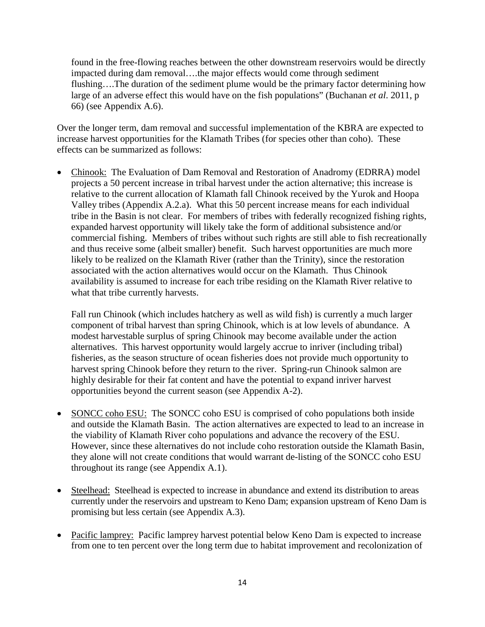found in the free-flowing reaches between the other downstream reservoirs would be directly impacted during dam removal….the major effects would come through sediment flushing….The duration of the sediment plume would be the primary factor determining how large of an adverse effect this would have on the fish populations" (Buchanan *et al*. 2011, p 66) (see Appendix A.6).

Over the longer term, dam removal and successful implementation of the KBRA are expected to increase harvest opportunities for the Klamath Tribes (for species other than coho). These effects can be summarized as follows:

• Chinook: The Evaluation of Dam Removal and Restoration of Anadromy (EDRRA) model projects a 50 percent increase in tribal harvest under the action alternative; this increase is relative to the current allocation of Klamath fall Chinook received by the Yurok and Hoopa Valley tribes (Appendix A.2.a). What this 50 percent increase means for each individual tribe in the Basin is not clear. For members of tribes with federally recognized fishing rights, expanded harvest opportunity will likely take the form of additional subsistence and/or commercial fishing. Members of tribes without such rights are still able to fish recreationally and thus receive some (albeit smaller) benefit. Such harvest opportunities are much more likely to be realized on the Klamath River (rather than the Trinity), since the restoration associated with the action alternatives would occur on the Klamath. Thus Chinook availability is assumed to increase for each tribe residing on the Klamath River relative to what that tribe currently harvests.

Fall run Chinook (which includes hatchery as well as wild fish) is currently a much larger component of tribal harvest than spring Chinook, which is at low levels of abundance. A modest harvestable surplus of spring Chinook may become available under the action alternatives. This harvest opportunity would largely accrue to inriver (including tribal) fisheries, as the season structure of ocean fisheries does not provide much opportunity to harvest spring Chinook before they return to the river. Spring-run Chinook salmon are highly desirable for their fat content and have the potential to expand inriver harvest opportunities beyond the current season (see Appendix A-2).

- SONCC coho ESU: The SONCC coho ESU is comprised of coho populations both inside and outside the Klamath Basin. The action alternatives are expected to lead to an increase in the viability of Klamath River coho populations and advance the recovery of the ESU. However, since these alternatives do not include coho restoration outside the Klamath Basin, they alone will not create conditions that would warrant de-listing of the SONCC coho ESU throughout its range (see Appendix A.1).
- Steelhead: Steelhead is expected to increase in abundance and extend its distribution to areas currently under the reservoirs and upstream to Keno Dam; expansion upstream of Keno Dam is promising but less certain (see Appendix A.3).
- Pacific lamprey: Pacific lamprey harvest potential below Keno Dam is expected to increase from one to ten percent over the long term due to habitat improvement and recolonization of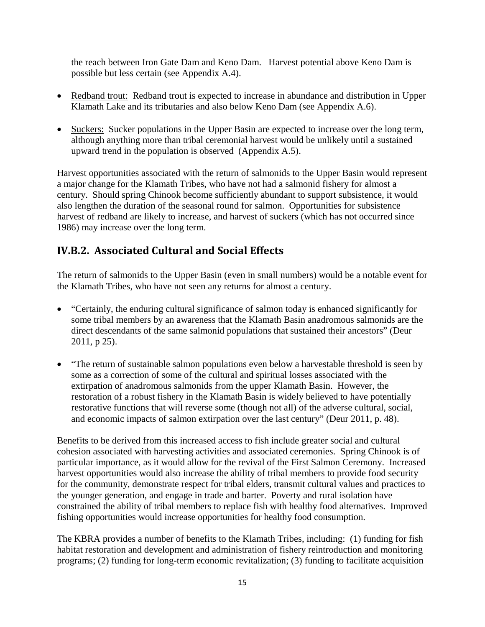the reach between Iron Gate Dam and Keno Dam. Harvest potential above Keno Dam is possible but less certain (see Appendix A.4).

- Redband trout: Redband trout is expected to increase in abundance and distribution in Upper Klamath Lake and its tributaries and also below Keno Dam (see Appendix A.6).
- Suckers: Sucker populations in the Upper Basin are expected to increase over the long term, although anything more than tribal ceremonial harvest would be unlikely until a sustained upward trend in the population is observed (Appendix A.5).

Harvest opportunities associated with the return of salmonids to the Upper Basin would represent a major change for the Klamath Tribes, who have not had a salmonid fishery for almost a century. Should spring Chinook become sufficiently abundant to support subsistence, it would also lengthen the duration of the seasonal round for salmon. Opportunities for subsistence harvest of redband are likely to increase, and harvest of suckers (which has not occurred since 1986) may increase over the long term.

#### **IV.B.2. Associated Cultural and Social Effects**

The return of salmonids to the Upper Basin (even in small numbers) would be a notable event for the Klamath Tribes, who have not seen any returns for almost a century.

- "Certainly, the enduring cultural significance of salmon today is enhanced significantly for some tribal members by an awareness that the Klamath Basin anadromous salmonids are the direct descendants of the same salmonid populations that sustained their ancestors" (Deur 2011, p 25).
- "The return of sustainable salmon populations even below a harvestable threshold is seen by some as a correction of some of the cultural and spiritual losses associated with the extirpation of anadromous salmonids from the upper Klamath Basin. However, the restoration of a robust fishery in the Klamath Basin is widely believed to have potentially restorative functions that will reverse some (though not all) of the adverse cultural, social, and economic impacts of salmon extirpation over the last century" (Deur 2011, p. 48).

Benefits to be derived from this increased access to fish include greater social and cultural cohesion associated with harvesting activities and associated ceremonies. Spring Chinook is of particular importance, as it would allow for the revival of the First Salmon Ceremony. Increased harvest opportunities would also increase the ability of tribal members to provide food security for the community, demonstrate respect for tribal elders, transmit cultural values and practices to the younger generation, and engage in trade and barter. Poverty and rural isolation have constrained the ability of tribal members to replace fish with healthy food alternatives. Improved fishing opportunities would increase opportunities for healthy food consumption.

The KBRA provides a number of benefits to the Klamath Tribes, including: (1) funding for fish habitat restoration and development and administration of fishery reintroduction and monitoring programs; (2) funding for long-term economic revitalization; (3) funding to facilitate acquisition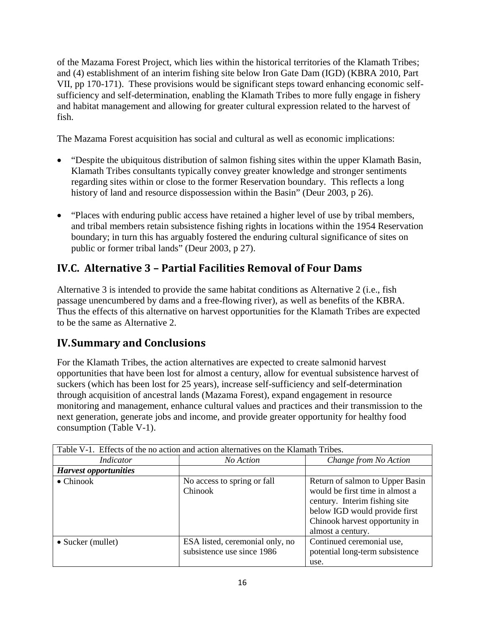of the Mazama Forest Project, which lies within the historical territories of the Klamath Tribes; and (4) establishment of an interim fishing site below Iron Gate Dam (IGD) (KBRA 2010, Part VII, pp 170-171). These provisions would be significant steps toward enhancing economic selfsufficiency and self-determination, enabling the Klamath Tribes to more fully engage in fishery and habitat management and allowing for greater cultural expression related to the harvest of fish.

The Mazama Forest acquisition has social and cultural as well as economic implications:

- "Despite the ubiquitous distribution of salmon fishing sites within the upper Klamath Basin, Klamath Tribes consultants typically convey greater knowledge and stronger sentiments regarding sites within or close to the former Reservation boundary. This reflects a long history of land and resource dispossession within the Basin" (Deur 2003, p 26).
- "Places with enduring public access have retained a higher level of use by tribal members, and tribal members retain subsistence fishing rights in locations within the 1954 Reservation boundary; in turn this has arguably fostered the enduring cultural significance of sites on public or former tribal lands" (Deur 2003, p 27).

#### **IV.C. Alternative 3 – Partial Facilities Removal of Four Dams**

Alternative 3 is intended to provide the same habitat conditions as Alternative 2 (i.e., fish passage unencumbered by dams and a free-flowing river), as well as benefits of the KBRA. Thus the effects of this alternative on harvest opportunities for the Klamath Tribes are expected to be the same as Alternative 2.

#### **IV.Summary and Conclusions**

For the Klamath Tribes, the action alternatives are expected to create salmonid harvest opportunities that have been lost for almost a century, allow for eventual subsistence harvest of suckers (which has been lost for 25 years), increase self-sufficiency and self-determination through acquisition of ancestral lands (Mazama Forest), expand engagement in resource monitoring and management, enhance cultural values and practices and their transmission to the next generation, generate jobs and income, and provide greater opportunity for healthy food consumption (Table V-1).

| Table V-1. Effects of the no action and action alternatives on the Klamath Tribes. |                                                               |                                                                                                                                                                                             |  |  |  |  |
|------------------------------------------------------------------------------------|---------------------------------------------------------------|---------------------------------------------------------------------------------------------------------------------------------------------------------------------------------------------|--|--|--|--|
| <i>Indicator</i>                                                                   | No Action                                                     | Change from No Action                                                                                                                                                                       |  |  |  |  |
| <b>Harvest opportunities</b>                                                       |                                                               |                                                                                                                                                                                             |  |  |  |  |
| $\bullet$ Chinook                                                                  | No access to spring or fall<br>Chinook                        | Return of salmon to Upper Basin<br>would be first time in almost a<br>century. Interim fishing site<br>below IGD would provide first<br>Chinook harvest opportunity in<br>almost a century. |  |  |  |  |
| $\bullet$ Sucker (mullet)                                                          | ESA listed, ceremonial only, no<br>subsistence use since 1986 | Continued ceremonial use,<br>potential long-term subsistence<br>use.                                                                                                                        |  |  |  |  |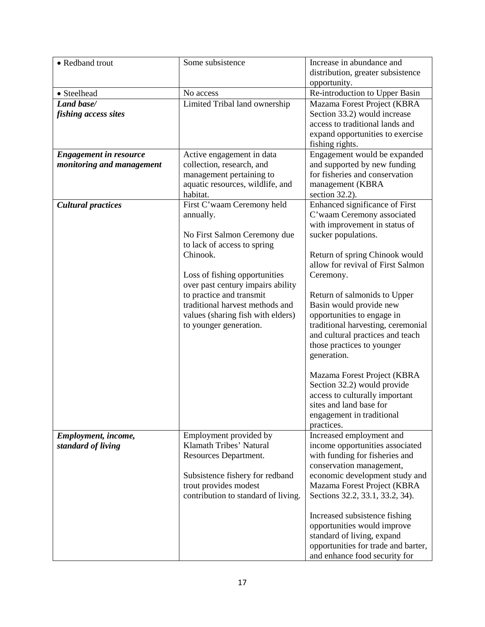| • Redband trout                                            | Some subsistence                                                                                                                                                                                                                                                                                                       | Increase in abundance and<br>distribution, greater subsistence<br>opportunity.                                                                                                                                                                                                                                                                                                                                                                                                                                                                                                                 |  |  |  |  |
|------------------------------------------------------------|------------------------------------------------------------------------------------------------------------------------------------------------------------------------------------------------------------------------------------------------------------------------------------------------------------------------|------------------------------------------------------------------------------------------------------------------------------------------------------------------------------------------------------------------------------------------------------------------------------------------------------------------------------------------------------------------------------------------------------------------------------------------------------------------------------------------------------------------------------------------------------------------------------------------------|--|--|--|--|
| • Steelhead                                                | No access                                                                                                                                                                                                                                                                                                              | Re-introduction to Upper Basin                                                                                                                                                                                                                                                                                                                                                                                                                                                                                                                                                                 |  |  |  |  |
| Land base/<br>fishing access sites                         | Limited Tribal land ownership                                                                                                                                                                                                                                                                                          | Mazama Forest Project (KBRA<br>Section 33.2) would increase<br>access to traditional lands and<br>expand opportunities to exercise<br>fishing rights.                                                                                                                                                                                                                                                                                                                                                                                                                                          |  |  |  |  |
| <b>Engagement in resource</b><br>monitoring and management | Active engagement in data<br>collection, research, and<br>management pertaining to<br>aquatic resources, wildlife, and<br>habitat.                                                                                                                                                                                     | Engagement would be expanded<br>and supported by new funding<br>for fisheries and conservation<br>management (KBRA<br>section 32.2).                                                                                                                                                                                                                                                                                                                                                                                                                                                           |  |  |  |  |
| <b>Cultural practices</b>                                  | First C'waam Ceremony held<br>annually.<br>No First Salmon Ceremony due<br>to lack of access to spring<br>Chinook.<br>Loss of fishing opportunities<br>over past century impairs ability<br>to practice and transmit<br>traditional harvest methods and<br>values (sharing fish with elders)<br>to younger generation. | Enhanced significance of First<br>C'waam Ceremony associated<br>with improvement in status of<br>sucker populations.<br>Return of spring Chinook would<br>allow for revival of First Salmon<br>Ceremony.<br>Return of salmonids to Upper<br>Basin would provide new<br>opportunities to engage in<br>traditional harvesting, ceremonial<br>and cultural practices and teach<br>those practices to younger<br>generation.<br>Mazama Forest Project (KBRA<br>Section 32.2) would provide<br>access to culturally important<br>sites and land base for<br>engagement in traditional<br>practices. |  |  |  |  |
| Employment, income,<br>standard of living                  | Employment provided by<br>Klamath Tribes' Natural<br>Resources Department.<br>Subsistence fishery for redband<br>trout provides modest<br>contribution to standard of living.                                                                                                                                          | Increased employment and<br>income opportunities associated<br>with funding for fisheries and<br>conservation management,<br>economic development study and<br>Mazama Forest Project (KBRA<br>Sections 32.2, 33.1, 33.2, 34).<br>Increased subsistence fishing<br>opportunities would improve<br>standard of living, expand<br>opportunities for trade and barter,<br>and enhance food security for                                                                                                                                                                                            |  |  |  |  |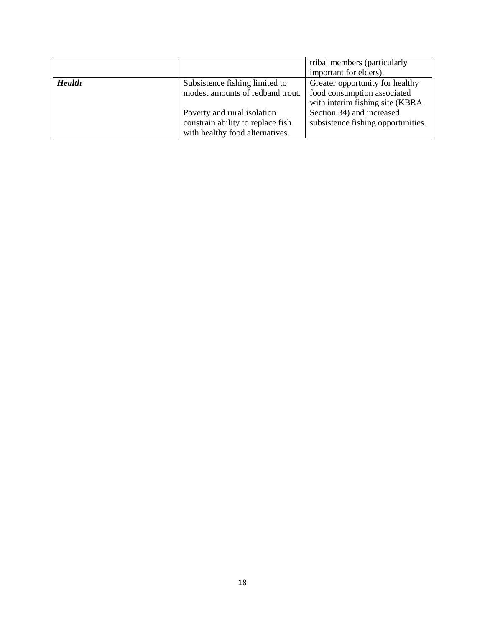|               |                                   | tribal members (particularly       |
|---------------|-----------------------------------|------------------------------------|
|               |                                   | important for elders).             |
| <b>Health</b> | Subsistence fishing limited to    | Greater opportunity for healthy    |
|               | modest amounts of redband trout.  | food consumption associated        |
|               |                                   | with interim fishing site (KBRA    |
|               | Poverty and rural isolation       | Section 34) and increased          |
|               | constrain ability to replace fish | subsistence fishing opportunities. |
|               | with healthy food alternatives.   |                                    |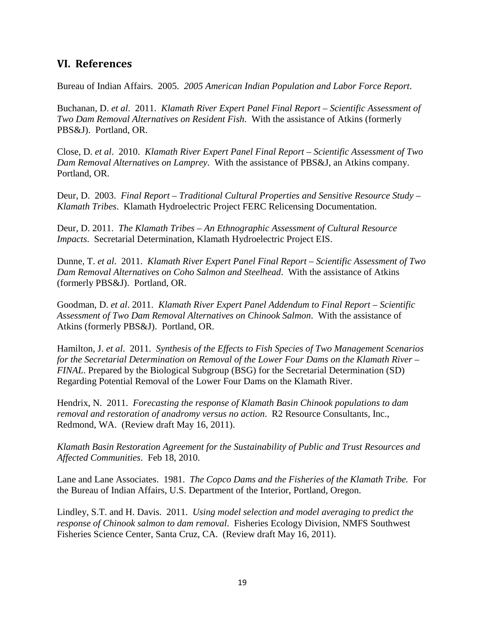#### **VI. References**

Bureau of Indian Affairs. 2005. *2005 American Indian Population and Labor Force Report*.

Buchanan, D. *et al*. 2011. *Klamath River Expert Panel Final Report – Scientific Assessment of Two Dam Removal Alternatives on Resident Fish*. With the assistance of Atkins (formerly PBS&J). Portland, OR.

Close, D. *et al*. 2010. *Klamath River Expert Panel Final Report – Scientific Assessment of Two Dam Removal Alternatives on Lamprey*. With the assistance of PBS&J, an Atkins company. Portland, OR.

Deur, D. 2003. *Final Report – Traditional Cultural Properties and Sensitive Resource Study – Klamath Tribes*. Klamath Hydroelectric Project FERC Relicensing Documentation.

Deur, D. 2011. *The Klamath Tribes – An Ethnographic Assessment of Cultural Resource Impacts*. Secretarial Determination, Klamath Hydroelectric Project EIS.

Dunne, T. *et al*. 2011. *Klamath River Expert Panel Final Report – Scientific Assessment of Two Dam Removal Alternatives on Coho Salmon and Steelhead*. With the assistance of Atkins (formerly PBS&J). Portland, OR.

Goodman, D. *et al*. 2011. *Klamath River Expert Panel Addendum to Final Report – Scientific Assessment of Two Dam Removal Alternatives on Chinook Salmon*. With the assistance of Atkins (formerly PBS&J). Portland, OR.

Hamilton, J. *et al*. 2011. *Synthesis of the Effects to Fish Species of Two Management Scenarios for the Secretarial Determination on Removal of the Lower Four Dams on the Klamath River – FINAL*. Prepared by the Biological Subgroup (BSG) for the Secretarial Determination (SD) Regarding Potential Removal of the Lower Four Dams on the Klamath River.

Hendrix, N. 2011. *Forecasting the response of Klamath Basin Chinook populations to dam removal and restoration of anadromy versus no action*. R2 Resource Consultants, Inc., Redmond, WA. (Review draft May 16, 2011).

*Klamath Basin Restoration Agreement for the Sustainability of Public and Trust Resources and Affected Communities*. Feb 18, 2010.

Lane and Lane Associates. 1981. *The Copco Dams and the Fisheries of the Klamath Tribe.* For the Bureau of Indian Affairs, U.S. Department of the Interior, Portland, Oregon.

Lindley, S.T. and H. Davis. 2011. *Using model selection and model averaging to predict the response of Chinook salmon to dam removal*. Fisheries Ecology Division, NMFS Southwest Fisheries Science Center, Santa Cruz, CA. (Review draft May 16, 2011).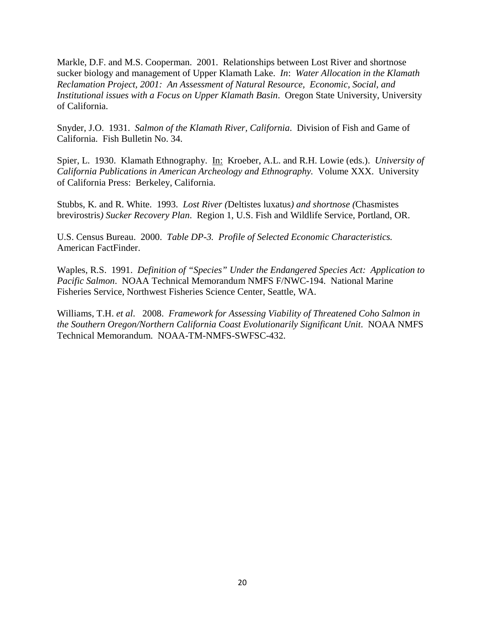Markle, D.F. and M.S. Cooperman. 2001. Relationships between Lost River and shortnose sucker biology and management of Upper Klamath Lake. *In*: *Water Allocation in the Klamath Reclamation Project, 2001: An Assessment of Natural Resource, Economic, Social, and Institutional issues with a Focus on Upper Klamath Basin*. Oregon State University, University of California.

Snyder, J.O. 1931. *Salmon of the Klamath River, California*. Division of Fish and Game of California. Fish Bulletin No. 34.

Spier, L. 1930. Klamath Ethnography. In: Kroeber, A.L. and R.H. Lowie (eds.). *University of California Publications in American Archeology and Ethnography.* Volume XXX. University of California Press: Berkeley, California.

Stubbs, K. and R. White. 1993. *Lost River (*Deltistes luxatus*) and shortnose (*Chasmistes brevirostris*) Sucker Recovery Plan*. Region 1, U.S. Fish and Wildlife Service, Portland, OR.

U.S. Census Bureau. 2000. *Table DP-3. Profile of Selected Economic Characteristics.*  American FactFinder.

Waples, R.S. 1991. *Definition of "Species" Under the Endangered Species Act: Application to Pacific Salmon*. NOAA Technical Memorandum NMFS F/NWC-194. National Marine Fisheries Service, Northwest Fisheries Science Center, Seattle, WA.

Williams, T.H. *et al*. 2008. *Framework for Assessing Viability of Threatened Coho Salmon in the Southern Oregon/Northern California Coast Evolutionarily Significant Unit*. NOAA NMFS Technical Memorandum. NOAA-TM-NMFS-SWFSC-432.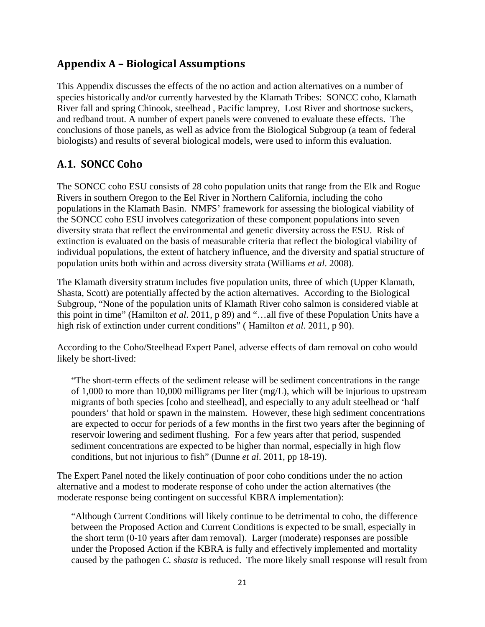#### **Appendix A – Biological Assumptions**

This Appendix discusses the effects of the no action and action alternatives on a number of species historically and/or currently harvested by the Klamath Tribes: SONCC coho, Klamath River fall and spring Chinook, steelhead , Pacific lamprey, Lost River and shortnose suckers, and redband trout. A number of expert panels were convened to evaluate these effects. The conclusions of those panels, as well as advice from the Biological Subgroup (a team of federal biologists) and results of several biological models, were used to inform this evaluation.

#### **A.1. SONCC Coho**

The SONCC coho ESU consists of 28 coho population units that range from the Elk and Rogue Rivers in southern Oregon to the Eel River in Northern California, including the coho populations in the Klamath Basin. NMFS' framework for assessing the biological viability of the SONCC coho ESU involves categorization of these component populations into seven diversity strata that reflect the environmental and genetic diversity across the ESU. Risk of extinction is evaluated on the basis of measurable criteria that reflect the biological viability of individual populations, the extent of hatchery influence, and the diversity and spatial structure of population units both within and across diversity strata (Williams *et al*. 2008).

The Klamath diversity stratum includes five population units, three of which (Upper Klamath, Shasta, Scott) are potentially affected by the action alternatives. According to the Biological Subgroup, "None of the population units of Klamath River coho salmon is considered viable at this point in time" (Hamilton *et al*. 2011, p 89) and "…all five of these Population Units have a high risk of extinction under current conditions" ( Hamilton *et al*. 2011, p 90).

According to the Coho/Steelhead Expert Panel, adverse effects of dam removal on coho would likely be short-lived:

"The short-term effects of the sediment release will be sediment concentrations in the range of 1,000 to more than 10,000 milligrams per liter (mg/L), which will be injurious to upstream migrants of both species [coho and steelhead], and especially to any adult steelhead or 'half pounders' that hold or spawn in the mainstem. However, these high sediment concentrations are expected to occur for periods of a few months in the first two years after the beginning of reservoir lowering and sediment flushing. For a few years after that period, suspended sediment concentrations are expected to be higher than normal, especially in high flow conditions, but not injurious to fish" (Dunne *et al*. 2011, pp 18-19).

The Expert Panel noted the likely continuation of poor coho conditions under the no action alternative and a modest to moderate response of coho under the action alternatives (the moderate response being contingent on successful KBRA implementation):

"Although Current Conditions will likely continue to be detrimental to coho, the difference between the Proposed Action and Current Conditions is expected to be small, especially in the short term (0-10 years after dam removal). Larger (moderate) responses are possible under the Proposed Action if the KBRA is fully and effectively implemented and mortality caused by the pathogen *C. shasta* is reduced. The more likely small response will result from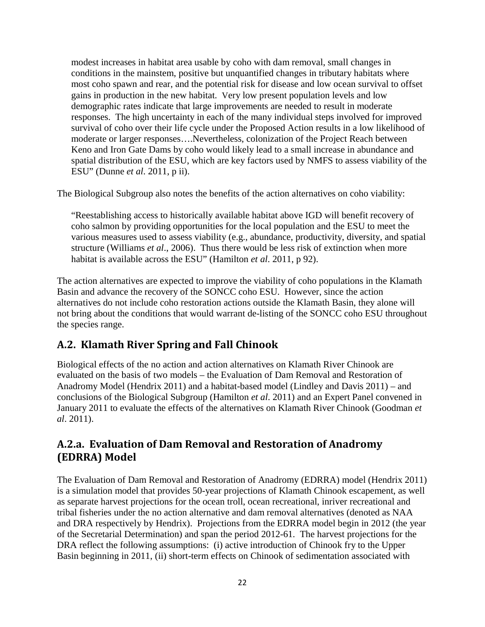modest increases in habitat area usable by coho with dam removal, small changes in conditions in the mainstem, positive but unquantified changes in tributary habitats where most coho spawn and rear, and the potential risk for disease and low ocean survival to offset gains in production in the new habitat. Very low present population levels and low demographic rates indicate that large improvements are needed to result in moderate responses. The high uncertainty in each of the many individual steps involved for improved survival of coho over their life cycle under the Proposed Action results in a low likelihood of moderate or larger responses….Nevertheless, colonization of the Project Reach between Keno and Iron Gate Dams by coho would likely lead to a small increase in abundance and spatial distribution of the ESU, which are key factors used by NMFS to assess viability of the ESU" (Dunne *et al*. 2011, p ii).

The Biological Subgroup also notes the benefits of the action alternatives on coho viability:

"Reestablishing access to historically available habitat above IGD will benefit recovery of coho salmon by providing opportunities for the local population and the ESU to meet the various measures used to assess viability (e.g., abundance, productivity, diversity, and spatial structure (Williams *et al*., 2006). Thus there would be less risk of extinction when more habitat is available across the ESU" (Hamilton *et al*. 2011, p 92).

The action alternatives are expected to improve the viability of coho populations in the Klamath Basin and advance the recovery of the SONCC coho ESU. However, since the action alternatives do not include coho restoration actions outside the Klamath Basin, they alone will not bring about the conditions that would warrant de-listing of the SONCC coho ESU throughout the species range.

#### **A.2. Klamath River Spring and Fall Chinook**

Biological effects of the no action and action alternatives on Klamath River Chinook are evaluated on the basis of two models – the Evaluation of Dam Removal and Restoration of Anadromy Model (Hendrix 2011) and a habitat-based model (Lindley and Davis 2011) – and conclusions of the Biological Subgroup (Hamilton *et al*. 2011) and an Expert Panel convened in January 2011 to evaluate the effects of the alternatives on Klamath River Chinook (Goodman *et al*. 2011).

#### **A.2.a. Evaluation of Dam Removal and Restoration of Anadromy (EDRRA) Model**

The Evaluation of Dam Removal and Restoration of Anadromy (EDRRA) model (Hendrix 2011) is a simulation model that provides 50-year projections of Klamath Chinook escapement, as well as separate harvest projections for the ocean troll, ocean recreational, inriver recreational and tribal fisheries under the no action alternative and dam removal alternatives (denoted as NAA and DRA respectively by Hendrix). Projections from the EDRRA model begin in 2012 (the year of the Secretarial Determination) and span the period 2012-61. The harvest projections for the DRA reflect the following assumptions: (i) active introduction of Chinook fry to the Upper Basin beginning in 2011, (ii) short-term effects on Chinook of sedimentation associated with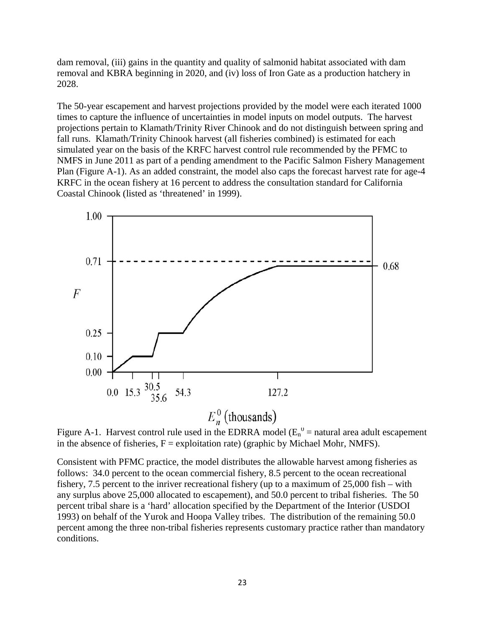dam removal, (iii) gains in the quantity and quality of salmonid habitat associated with dam removal and KBRA beginning in 2020, and (iv) loss of Iron Gate as a production hatchery in 2028.

The 50-year escapement and harvest projections provided by the model were each iterated 1000 times to capture the influence of uncertainties in model inputs on model outputs. The harvest projections pertain to Klamath/Trinity River Chinook and do not distinguish between spring and fall runs. Klamath/Trinity Chinook harvest (all fisheries combined) is estimated for each simulated year on the basis of the KRFC harvest control rule recommended by the PFMC to NMFS in June 2011 as part of a pending amendment to the Pacific Salmon Fishery Management Plan (Figure A-1). As an added constraint, the model also caps the forecast harvest rate for age-4 KRFC in the ocean fishery at 16 percent to address the consultation standard for California Coastal Chinook (listed as 'threatened' in 1999).



Figure A-1. Harvest control rule used in the EDRRA model ( $E_n^0$  = natural area adult escapement in the absence of fisheries,  $F =$  exploitation rate) (graphic by Michael Mohr, NMFS).

Consistent with PFMC practice, the model distributes the allowable harvest among fisheries as follows: 34.0 percent to the ocean commercial fishery, 8.5 percent to the ocean recreational fishery, 7.5 percent to the inriver recreational fishery (up to a maximum of 25,000 fish – with any surplus above 25,000 allocated to escapement), and 50.0 percent to tribal fisheries. The 50 percent tribal share is a 'hard' allocation specified by the Department of the Interior (USDOI 1993) on behalf of the Yurok and Hoopa Valley tribes. The distribution of the remaining 50.0 percent among the three non-tribal fisheries represents customary practice rather than mandatory conditions.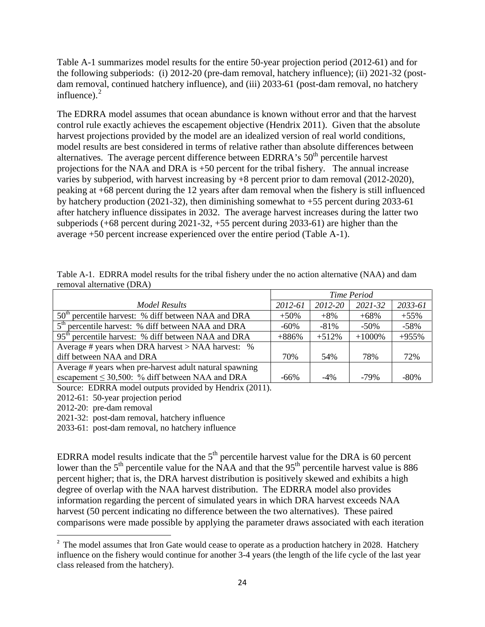Table A-1 summarizes model results for the entire 50-year projection period (2012-61) and for the following subperiods: (i) 2012-20 (pre-dam removal, hatchery influence); (ii) 2021-32 (postdam removal, continued hatchery influence), and (iii) 2033-61 (post-dam removal, no hatchery influence). $2$ 

The EDRRA model assumes that ocean abundance is known without error and that the harvest control rule exactly achieves the escapement objective (Hendrix 2011). Given that the absolute harvest projections provided by the model are an idealized version of real world conditions, model results are best considered in terms of relative rather than absolute differences between alternatives. The average percent difference between EDRRA's  $50<sup>th</sup>$  percentile harvest projections for the NAA and DRA is +50 percent for the tribal fishery. The annual increase varies by subperiod, with harvest increasing by +8 percent prior to dam removal (2012-2020), peaking at +68 percent during the 12 years after dam removal when the fishery is still influenced by hatchery production (2021-32), then diminishing somewhat to +55 percent during 2033-61 after hatchery influence dissipates in 2032. The average harvest increases during the latter two subperiods (+68 percent during 2021-32, +55 percent during 2033-61) are higher than the average +50 percent increase experienced over the entire period (Table A-1).

| Table A-1. EDRRA model results for the tribal fishery under the no action alternative (NAA) and dam |  |  |  |  |  |  |  |
|-----------------------------------------------------------------------------------------------------|--|--|--|--|--|--|--|
| removal alternative (DRA)                                                                           |  |  |  |  |  |  |  |

|                                                                 | <b>Time Period</b> |         |             |         |
|-----------------------------------------------------------------|--------------------|---------|-------------|---------|
| Model Results                                                   | 2012-61            | 2012-20 | $2021 - 32$ | 2033-61 |
| 50 <sup>th</sup> percentile harvest: % diff between NAA and DRA | $+50%$             | $+8\%$  | $+68%$      | $+55%$  |
| 5 <sup>th</sup> percentile harvest: % diff between NAA and DRA  | $-60\%$            | $-81\%$ | $-50\%$     | $-58%$  |
| 95 <sup>th</sup> percentile harvest: % diff between NAA and DRA | $+886%$            | $+512%$ | $+1000\%$   | $+955%$ |
| Average # years when DRA harvest > NAA harvest: %               |                    |         |             |         |
| diff between NAA and DRA                                        | 70%                | 54%     | 78%         | 72%     |
| Average # years when pre-harvest adult natural spawning         |                    |         |             |         |
| escapement $\leq 30,500$ : % diff between NAA and DRA           | -66%               | $-4%$   | $-79\%$     | $-80\%$ |

Source: EDRRA model outputs provided by Hendrix (2011).

2012-61: 50-year projection period

2012-20: pre-dam removal

2021-32: post-dam removal, hatchery influence

2033-61: post-dam removal, no hatchery influence

EDRRA model results indicate that the  $5<sup>th</sup>$  percentile harvest value for the DRA is 60 percent lower than the  $5<sup>th</sup>$  percentile value for the NAA and that the 95<sup>th</sup> percentile harvest value is 886 percent higher; that is, the DRA harvest distribution is positively skewed and exhibits a high degree of overlap with the NAA harvest distribution. The EDRRA model also provides information regarding the percent of simulated years in which DRA harvest exceeds NAA harvest (50 percent indicating no difference between the two alternatives). These paired comparisons were made possible by applying the parameter draws associated with each iteration

<span id="page-23-0"></span> $\overline{2}$ <sup>2</sup> The model assumes that Iron Gate would cease to operate as a production hatchery in 2028. Hatchery influence on the fishery would continue for another 3-4 years (the length of the life cycle of the last year class released from the hatchery).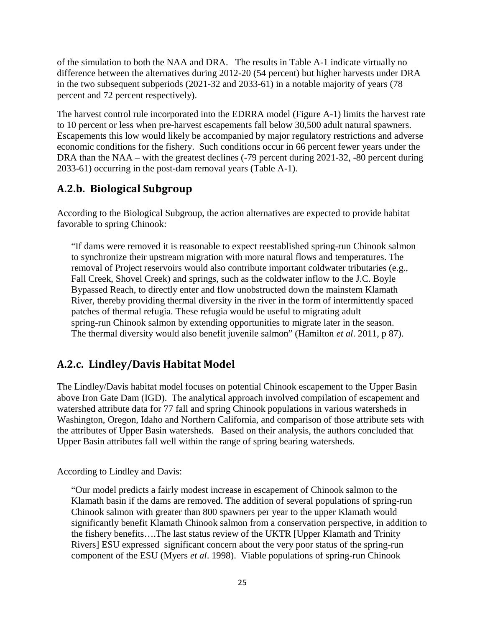of the simulation to both the NAA and DRA. The results in Table A-1 indicate virtually no difference between the alternatives during 2012-20 (54 percent) but higher harvests under DRA in the two subsequent subperiods (2021-32 and 2033-61) in a notable majority of years (78 percent and 72 percent respectively).

The harvest control rule incorporated into the EDRRA model (Figure A-1) limits the harvest rate to 10 percent or less when pre-harvest escapements fall below 30,500 adult natural spawners. Escapements this low would likely be accompanied by major regulatory restrictions and adverse economic conditions for the fishery. Such conditions occur in 66 percent fewer years under the DRA than the NAA – with the greatest declines (-79 percent during 2021-32, -80 percent during 2033-61) occurring in the post-dam removal years (Table A-1).

#### **A.2.b. Biological Subgroup**

According to the Biological Subgroup, the action alternatives are expected to provide habitat favorable to spring Chinook:

"If dams were removed it is reasonable to expect reestablished spring-run Chinook salmon to synchronize their upstream migration with more natural flows and temperatures. The removal of Project reservoirs would also contribute important coldwater tributaries (e.g., Fall Creek, Shovel Creek) and springs, such as the coldwater inflow to the J.C. Boyle Bypassed Reach, to directly enter and flow unobstructed down the mainstem Klamath River, thereby providing thermal diversity in the river in the form of intermittently spaced patches of thermal refugia. These refugia would be useful to migrating adult spring-run Chinook salmon by extending opportunities to migrate later in the season. The thermal diversity would also benefit juvenile salmon" (Hamilton *et al*. 2011, p 87).

#### **A.2.c. Lindley/Davis Habitat Model**

The Lindley/Davis habitat model focuses on potential Chinook escapement to the Upper Basin above Iron Gate Dam (IGD). The analytical approach involved compilation of escapement and watershed attribute data for 77 fall and spring Chinook populations in various watersheds in Washington, Oregon, Idaho and Northern California, and comparison of those attribute sets with the attributes of Upper Basin watersheds. Based on their analysis, the authors concluded that Upper Basin attributes fall well within the range of spring bearing watersheds.

According to Lindley and Davis:

"Our model predicts a fairly modest increase in escapement of Chinook salmon to the Klamath basin if the dams are removed. The addition of several populations of spring-run Chinook salmon with greater than 800 spawners per year to the upper Klamath would significantly benefit Klamath Chinook salmon from a conservation perspective, in addition to the fishery benefits….The last status review of the UKTR [Upper Klamath and Trinity Rivers] ESU expressed significant concern about the very poor status of the spring-run component of the ESU (Myers *et al*. 1998). Viable populations of spring-run Chinook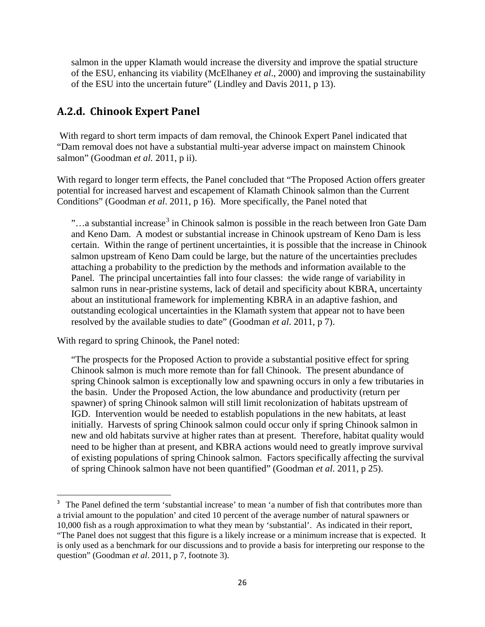salmon in the upper Klamath would increase the diversity and improve the spatial structure of the ESU, enhancing its viability (McElhaney *et al*., 2000) and improving the sustainability of the ESU into the uncertain future" (Lindley and Davis 2011, p 13).

#### **A.2.d. Chinook Expert Panel**

With regard to short term impacts of dam removal, the Chinook Expert Panel indicated that "Dam removal does not have a substantial multi-year adverse impact on mainstem Chinook salmon" (Goodman *et al.* 2011, p ii).

With regard to longer term effects, the Panel concluded that "The Proposed Action offers greater potential for increased harvest and escapement of Klamath Chinook salmon than the Current Conditions" (Goodman *et al*. 2011, p 16). More specifically, the Panel noted that

 $\ldots$ a substantial increase<sup>[3](#page-25-0)</sup> in Chinook salmon is possible in the reach between Iron Gate Dam and Keno Dam. A modest or substantial increase in Chinook upstream of Keno Dam is less certain. Within the range of pertinent uncertainties, it is possible that the increase in Chinook salmon upstream of Keno Dam could be large, but the nature of the uncertainties precludes attaching a probability to the prediction by the methods and information available to the Panel. The principal uncertainties fall into four classes: the wide range of variability in salmon runs in near-pristine systems, lack of detail and specificity about KBRA, uncertainty about an institutional framework for implementing KBRA in an adaptive fashion, and outstanding ecological uncertainties in the Klamath system that appear not to have been resolved by the available studies to date" (Goodman *et al*. 2011, p 7).

With regard to spring Chinook, the Panel noted:

"The prospects for the Proposed Action to provide a substantial positive effect for spring Chinook salmon is much more remote than for fall Chinook. The present abundance of spring Chinook salmon is exceptionally low and spawning occurs in only a few tributaries in the basin. Under the Proposed Action, the low abundance and productivity (return per spawner) of spring Chinook salmon will still limit recolonization of habitats upstream of IGD. Intervention would be needed to establish populations in the new habitats, at least initially. Harvests of spring Chinook salmon could occur only if spring Chinook salmon in new and old habitats survive at higher rates than at present. Therefore, habitat quality would need to be higher than at present, and KBRA actions would need to greatly improve survival of existing populations of spring Chinook salmon. Factors specifically affecting the survival of spring Chinook salmon have not been quantified" (Goodman *et al*. 2011, p 25).

<span id="page-25-0"></span><sup>-&</sup>lt;br>3 <sup>3</sup> The Panel defined the term 'substantial increase' to mean 'a number of fish that contributes more than a trivial amount to the population' and cited 10 percent of the average number of natural spawners or 10,000 fish as a rough approximation to what they mean by 'substantial'. As indicated in their report, "The Panel does not suggest that this figure is a likely increase or a minimum increase that is expected. It is only used as a benchmark for our discussions and to provide a basis for interpreting our response to the question" (Goodman *et al*. 2011, p 7, footnote 3).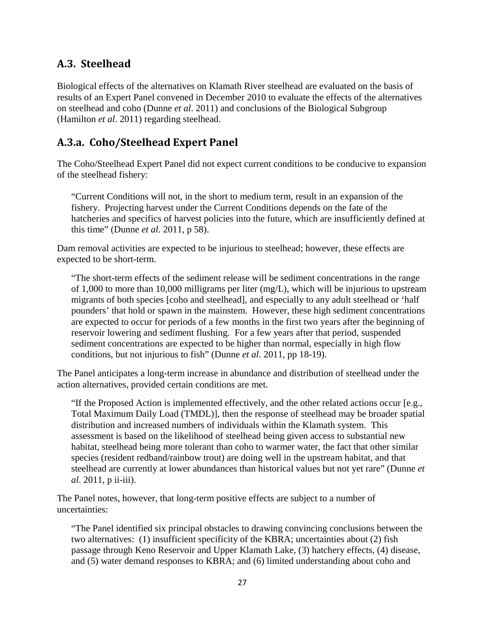#### **A.3. Steelhead**

Biological effects of the alternatives on Klamath River steelhead are evaluated on the basis of results of an Expert Panel convened in December 2010 to evaluate the effects of the alternatives on steelhead and coho (Dunne *et al*. 2011) and conclusions of the Biological Subgroup (Hamilton *et al*. 2011) regarding steelhead.

#### **A.3.a. Coho/Steelhead Expert Panel**

The Coho/Steelhead Expert Panel did not expect current conditions to be conducive to expansion of the steelhead fishery:

"Current Conditions will not, in the short to medium term, result in an expansion of the fishery. Projecting harvest under the Current Conditions depends on the fate of the hatcheries and specifics of harvest policies into the future, which are insufficiently defined at this time" (Dunne *et al*. 2011, p 58).

Dam removal activities are expected to be injurious to steelhead; however, these effects are expected to be short-term.

"The short-term effects of the sediment release will be sediment concentrations in the range of 1,000 to more than 10,000 milligrams per liter (mg/L), which will be injurious to upstream migrants of both species [coho and steelhead], and especially to any adult steelhead or 'half pounders' that hold or spawn in the mainstem. However, these high sediment concentrations are expected to occur for periods of a few months in the first two years after the beginning of reservoir lowering and sediment flushing. For a few years after that period, suspended sediment concentrations are expected to be higher than normal, especially in high flow conditions, but not injurious to fish" (Dunne *et al*. 2011, pp 18-19).

The Panel anticipates a long-term increase in abundance and distribution of steelhead under the action alternatives, provided certain conditions are met.

"If the Proposed Action is implemented effectively, and the other related actions occur [e.g., Total Maximum Daily Load (TMDL)], then the response of steelhead may be broader spatial distribution and increased numbers of individuals within the Klamath system. This assessment is based on the likelihood of steelhead being given access to substantial new habitat, steelhead being more tolerant than coho to warmer water, the fact that other similar species (resident redband/rainbow trout) are doing well in the upstream habitat, and that steelhead are currently at lower abundances than historical values but not yet rare" (Dunne *et al*. 2011, p ii-iii).

The Panel notes, however, that long-term positive effects are subject to a number of uncertainties:

"The Panel identified six principal obstacles to drawing convincing conclusions between the two alternatives: (1) insufficient specificity of the KBRA; uncertainties about (2) fish passage through Keno Reservoir and Upper Klamath Lake, (3) hatchery effects, (4) disease, and (5) water demand responses to KBRA; and (6) limited understanding about coho and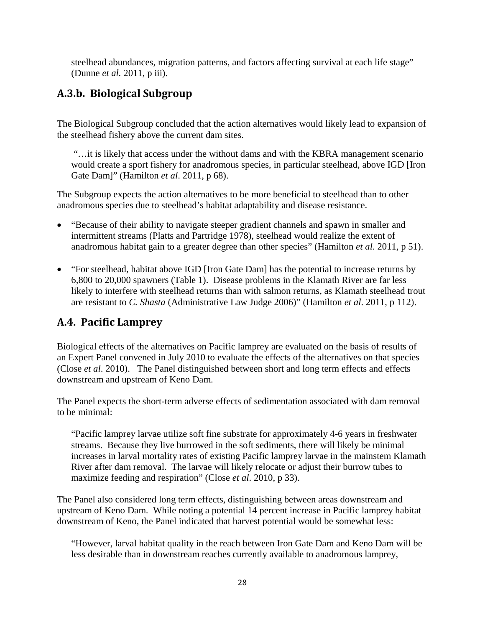steelhead abundances, migration patterns, and factors affecting survival at each life stage" (Dunne *et al.* 2011, p iii).

#### **A.3.b. Biological Subgroup**

The Biological Subgroup concluded that the action alternatives would likely lead to expansion of the steelhead fishery above the current dam sites.

"…it is likely that access under the without dams and with the KBRA management scenario would create a sport fishery for anadromous species, in particular steelhead, above IGD [Iron Gate Dam]" (Hamilton *et al*. 2011, p 68).

The Subgroup expects the action alternatives to be more beneficial to steelhead than to other anadromous species due to steelhead's habitat adaptability and disease resistance.

- "Because of their ability to navigate steeper gradient channels and spawn in smaller and intermittent streams (Platts and Partridge 1978), steelhead would realize the extent of anadromous habitat gain to a greater degree than other species" (Hamilton *et al*. 2011, p 51).
- "For steelhead, habitat above IGD [Iron Gate Dam] has the potential to increase returns by 6,800 to 20,000 spawners (Table 1). Disease problems in the Klamath River are far less likely to interfere with steelhead returns than with salmon returns, as Klamath steelhead trout are resistant to *C. Shasta* (Administrative Law Judge 2006)" (Hamilton *et al*. 2011, p 112).

#### **A.4. Pacific Lamprey**

Biological effects of the alternatives on Pacific lamprey are evaluated on the basis of results of an Expert Panel convened in July 2010 to evaluate the effects of the alternatives on that species (Close *et al*. 2010). The Panel distinguished between short and long term effects and effects downstream and upstream of Keno Dam.

The Panel expects the short-term adverse effects of sedimentation associated with dam removal to be minimal:

"Pacific lamprey larvae utilize soft fine substrate for approximately 4-6 years in freshwater streams. Because they live burrowed in the soft sediments, there will likely be minimal increases in larval mortality rates of existing Pacific lamprey larvae in the mainstem Klamath River after dam removal. The larvae will likely relocate or adjust their burrow tubes to maximize feeding and respiration" (Close *et al*. 2010, p 33).

The Panel also considered long term effects, distinguishing between areas downstream and upstream of Keno Dam. While noting a potential 14 percent increase in Pacific lamprey habitat downstream of Keno, the Panel indicated that harvest potential would be somewhat less:

"However, larval habitat quality in the reach between Iron Gate Dam and Keno Dam will be less desirable than in downstream reaches currently available to anadromous lamprey,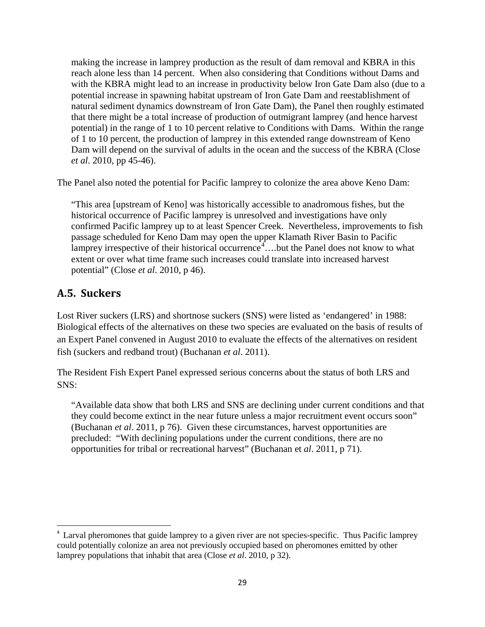making the increase in lamprey production as the result of dam removal and KBRA in this reach alone less than 14 percent. When also considering that Conditions without Dams and with the KBRA might lead to an increase in productivity below Iron Gate Dam also (due to a potential increase in spawning habitat upstream of Iron Gate Dam and reestablishment of natural sediment dynamics downstream of Iron Gate Dam), the Panel then roughly estimated that there might be a total increase of production of outmigrant lamprey (and hence harvest potential) in the range of 1 to 10 percent relative to Conditions with Dams. Within the range of 1 to 10 percent, the production of lamprey in this extended range downstream of Keno Dam will depend on the survival of adults in the ocean and the success of the KBRA (Close *et al*. 2010, pp 45-46).

The Panel also noted the potential for Pacific lamprey to colonize the area above Keno Dam:

"This area [upstream of Keno] was historically accessible to anadromous fishes, but the historical occurrence of Pacific lamprey is unresolved and investigations have only confirmed Pacific lamprey up to at least Spencer Creek. Nevertheless, improvements to fish passage scheduled for Keno Dam may open the upper Klamath River Basin to Pacific lamprey irrespective of their historical occurrence<sup>[4](#page-28-0)</sup>....but the Panel does not know to what extent or over what time frame such increases could translate into increased harvest potential" (Close *et al*. 2010, p 46).

#### **A.5. Suckers**

Lost River suckers (LRS) and shortnose suckers (SNS) were listed as 'endangered' in 1988: Biological effects of the alternatives on these two species are evaluated on the basis of results of an Expert Panel convened in August 2010 to evaluate the effects of the alternatives on resident fish (suckers and redband trout) (Buchanan *et al*. 2011).

The Resident Fish Expert Panel expressed serious concerns about the status of both LRS and SNS:

"Available data show that both LRS and SNS are declining under current conditions and that they could become extinct in the near future unless a major recruitment event occurs soon" (Buchanan *et al*. 2011, p 76). Given these circumstances, harvest opportunities are precluded: "With declining populations under the current conditions, there are no opportunities for tribal or recreational harvest" (Buchanan et *al*. 2011, p 71).

<span id="page-28-0"></span> $\frac{1}{4}$ <sup>4</sup> Larval pheromones that guide lamprey to a given river are not species-specific. Thus Pacific lamprey could potentially colonize an area not previously occupied based on pheromones emitted by other lamprey populations that inhabit that area (Close *et al*. 2010, p 32).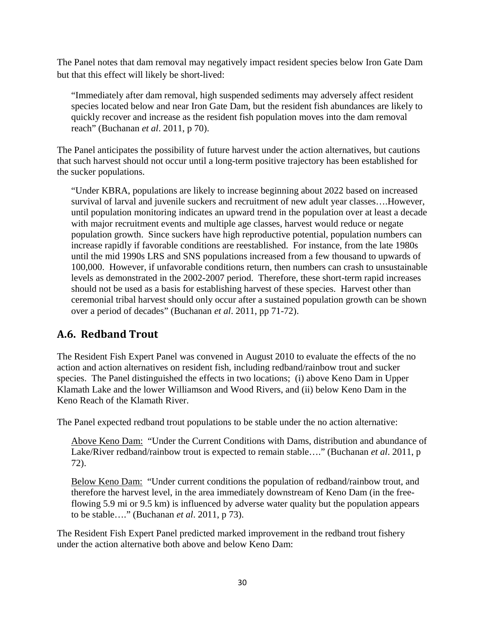The Panel notes that dam removal may negatively impact resident species below Iron Gate Dam but that this effect will likely be short-lived:

"Immediately after dam removal, high suspended sediments may adversely affect resident species located below and near Iron Gate Dam, but the resident fish abundances are likely to quickly recover and increase as the resident fish population moves into the dam removal reach" (Buchanan *et al*. 2011, p 70).

The Panel anticipates the possibility of future harvest under the action alternatives, but cautions that such harvest should not occur until a long-term positive trajectory has been established for the sucker populations.

"Under KBRA, populations are likely to increase beginning about 2022 based on increased survival of larval and juvenile suckers and recruitment of new adult year classes….However, until population monitoring indicates an upward trend in the population over at least a decade with major recruitment events and multiple age classes, harvest would reduce or negate population growth. Since suckers have high reproductive potential, population numbers can increase rapidly if favorable conditions are reestablished. For instance, from the late 1980s until the mid 1990s LRS and SNS populations increased from a few thousand to upwards of 100,000. However, if unfavorable conditions return, then numbers can crash to unsustainable levels as demonstrated in the 2002-2007 period. Therefore, these short-term rapid increases should not be used as a basis for establishing harvest of these species. Harvest other than ceremonial tribal harvest should only occur after a sustained population growth can be shown over a period of decades" (Buchanan *et al*. 2011, pp 71-72).

#### **A.6. Redband Trout**

The Resident Fish Expert Panel was convened in August 2010 to evaluate the effects of the no action and action alternatives on resident fish, including redband/rainbow trout and sucker species. The Panel distinguished the effects in two locations; (i) above Keno Dam in Upper Klamath Lake and the lower Williamson and Wood Rivers, and (ii) below Keno Dam in the Keno Reach of the Klamath River.

The Panel expected redband trout populations to be stable under the no action alternative:

Above Keno Dam: "Under the Current Conditions with Dams, distribution and abundance of Lake/River redband/rainbow trout is expected to remain stable…." (Buchanan *et al*. 2011, p 72).

Below Keno Dam: "Under current conditions the population of redband/rainbow trout, and therefore the harvest level, in the area immediately downstream of Keno Dam (in the freeflowing 5.9 mi or 9.5 km) is influenced by adverse water quality but the population appears to be stable…." (Buchanan *et al*. 2011, p 73).

The Resident Fish Expert Panel predicted marked improvement in the redband trout fishery under the action alternative both above and below Keno Dam: